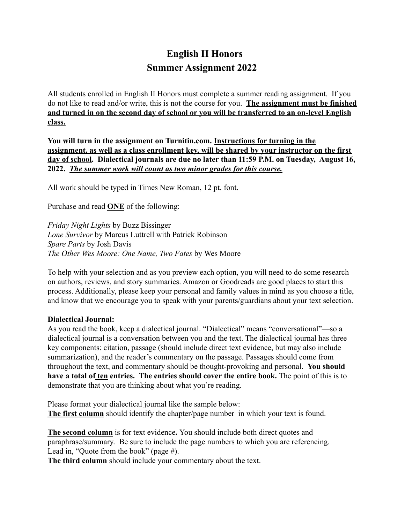## **English II Honors Summer Assignment 2022**

All students enrolled in English II Honors must complete a summer reading assignment. If you do not like to read and/or write, this is not the course for you. **The assignment must be finished and turned in on the second day of school or you will be transferred to an on-level English class.**

**You will turn in the assignment on Turnitin.com. Instructions for turning in the assignment, as well as a class enrollment key, will be shared by your instructor on the first day of school. Dialectical journals are due no later than 11:59 P.M. on Tuesday, August 16, 2022.** *The summer work will count as two minor grades for this course.*

All work should be typed in Times New Roman, 12 pt. font.

Purchase and read **ONE** of the following:

*Friday Night Lights* by Buzz Bissinger *Lone Survivor* by Marcus Luttrell with Patrick Robinson *Spare Parts* by Josh Davis *The Other Wes Moore: One Name, Two Fates* by Wes Moore

To help with your selection and as you preview each option, you will need to do some research on authors, reviews, and story summaries. Amazon or Goodreads are good places to start this process. Additionally, please keep your personal and family values in mind as you choose a title, and know that we encourage you to speak with your parents/guardians about your text selection.

## **Dialectical Journal:**

As you read the book, keep a dialectical journal. "Dialectical" means "conversational"—so a dialectical journal is a conversation between you and the text. The dialectical journal has three key components: citation, passage (should include direct text evidence, but may also include summarization), and the reader's commentary on the passage. Passages should come from throughout the text, and commentary should be thought-provoking and personal. **You should have a total of ten entries. The entries should cover the entire book.** The point of this is to demonstrate that you are thinking about what you're reading.

Please format your dialectical journal like the sample below: **The first column** should identify the chapter/page number in which your text is found.

**The second column** is for text evidence**.** You should include both direct quotes and paraphrase/summary. Be sure to include the page numbers to which you are referencing. Lead in, "Quote from the book" (page #).

**The third column** should include your commentary about the text.